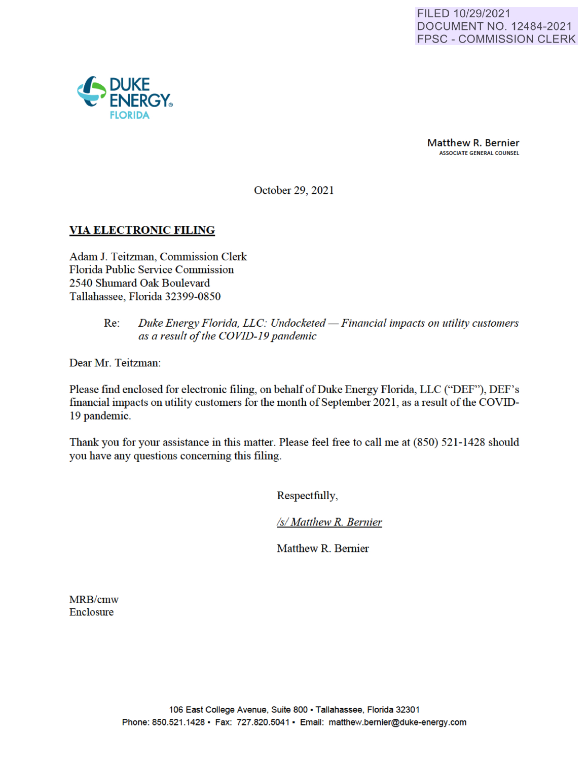FILED 10/29/2021 DOCUMENT NO. 12484-2021 FPSC - COMMISSION CLERK



**Matthew R. Bernier**<br>ASSOCIATE GENERAL COUNSEL

October 29, 2021

# **VIA ELECTRONIC FILING**

Adam J. Teitzman, Commission Clerk Florida Public Service Commission 2540 Shumard Oak Boulevard Tallahassee, Florida 32399-0850

# Re: *Duke Energy Florida, LLC: Undocketed — Financial impacts on utility customers as a result of the COVID-19 pandemic*

Dear Mr. Teitzman:

Please find enclosed for electronic filing, on behalf of Duke Energy Florida, LLC ("DEF"), DEF's financial impacts on utility customers for the month of September 2021 , as a result of the COVID-19 pandemic.

Thank you for your assistance in this matter. Please feel free to call me at (850) 521-1428 should you have any questions concerning this filing.

Respectfully,

*Isl Matthew R. Bernier* 

Matthew R. Bernier

MRB/cmw Enclosure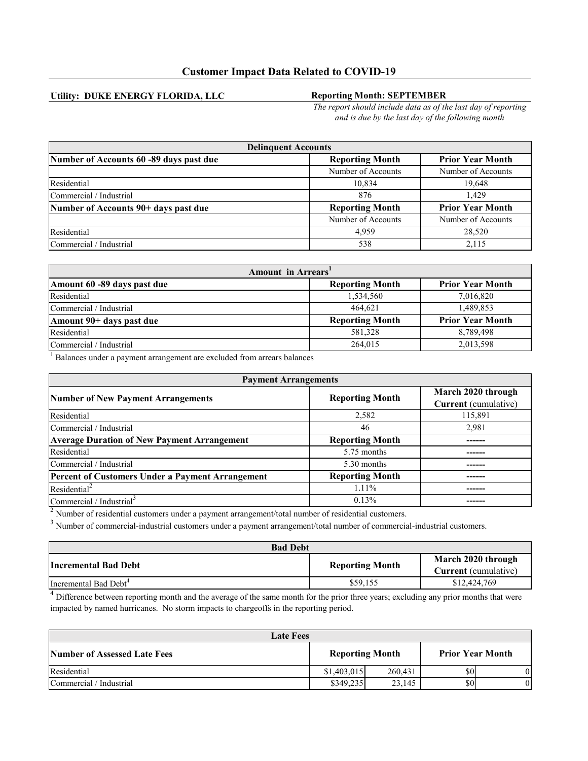# **Customer Impact Data Related to COVID-19**

## **Utility: DUKE ENERGY FLORIDA, LLC**

## **Reporting Month: SEPTEMBER**

*The report should include data as of the last day of reporting and is due by the last day of the following month*

| <b>Delinguent Accounts</b>              |                        |                         |  |
|-----------------------------------------|------------------------|-------------------------|--|
| Number of Accounts 60 -89 days past due | <b>Reporting Month</b> | <b>Prior Year Month</b> |  |
|                                         | Number of Accounts     | Number of Accounts      |  |
| Residential                             | 10.834                 | 19.648                  |  |
| Commercial / Industrial                 | 876                    | 1.429                   |  |
| Number of Accounts 90+ days past due    | <b>Reporting Month</b> | <b>Prior Year Month</b> |  |
|                                         | Number of Accounts     | Number of Accounts      |  |
| Residential                             | 4.959                  | 28,520                  |  |
| Commercial / Industrial                 | 538                    | 2,115                   |  |

| Amount in Arrears <sup>1</sup> |                        |                         |  |
|--------------------------------|------------------------|-------------------------|--|
| Amount 60 -89 days past due    | <b>Reporting Month</b> | <b>Prior Year Month</b> |  |
| Residential                    | 1,534,560              | 7,016,820               |  |
| Commercial / Industrial        | 464.621                | 1,489,853               |  |
| Amount 90+ days past due       | <b>Reporting Month</b> | <b>Prior Year Month</b> |  |
| Residential                    | 581,328                | 8,789,498               |  |
| Commercial / Industrial        | 264,015                | 2,013,598               |  |

<sup>1</sup> Balances under a payment arrangement are excluded from arrears balances

| <b>Payment Arrangements</b>                                                                        |                        |                                            |  |
|----------------------------------------------------------------------------------------------------|------------------------|--------------------------------------------|--|
| <b>Number of New Payment Arrangements</b>                                                          | <b>Reporting Month</b> | March 2020 through<br>Current (cumulative) |  |
| Residential                                                                                        | 2,582                  | 115,891                                    |  |
| Commercial / Industrial                                                                            | 46                     | 2,981                                      |  |
| <b>Average Duration of New Payment Arrangement</b>                                                 | <b>Reporting Month</b> |                                            |  |
| Residential                                                                                        | 5.75 months            |                                            |  |
| Commercial / Industrial                                                                            | 5.30 months            |                                            |  |
| <b>Percent of Customers Under a Payment Arrangement</b>                                            | <b>Reporting Month</b> |                                            |  |
| Residential <sup>2</sup>                                                                           | $1.11\%$               |                                            |  |
| Commercial / Industrial <sup>3</sup>                                                               | 0.13%                  |                                            |  |
| Number of residential customers under a payment arrangement/total number of residential customers. |                        |                                            |  |

 $3$  Number of commercial-industrial customers under a payment arrangement/total number of commercial-industrial customers.

| <b>Bad Debt</b>                   |                        |                                                   |
|-----------------------------------|------------------------|---------------------------------------------------|
| <b>Incremental Bad Debt</b>       | <b>Reporting Month</b> | March 2020 through<br><b>Current</b> (cumulative) |
| Incremental Bad Debt <sup>4</sup> | \$59,155               | \$12,424,769                                      |

<sup>4</sup> Difference between reporting month and the average of the same month for the prior three years; excluding any prior months that were impacted by named hurricanes. No storm impacts to chargeoffs in the reporting period.

| <b>Late Fees</b>                    |                        |         |                         |  |
|-------------------------------------|------------------------|---------|-------------------------|--|
| <b>Number of Assessed Late Fees</b> | <b>Reporting Month</b> |         | <b>Prior Year Month</b> |  |
| Residential                         | \$1,403,015            | 260.431 | \$0                     |  |
| Commercial / Industrial             | \$349,235              | 23,145  | \$0                     |  |